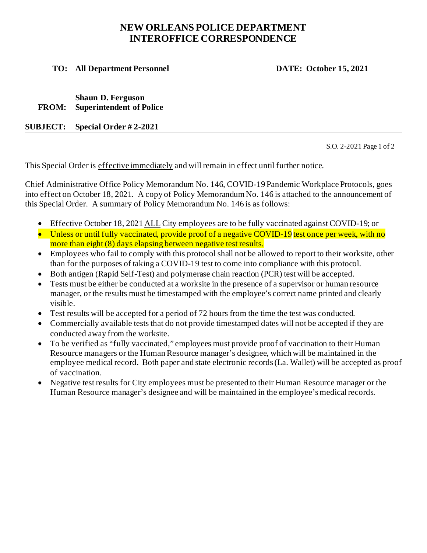## **NEW ORLEANS POLICE DEPARTMENT INTEROFFICE CORRESPONDENCE**

 **TO: All Department Personnel DATE: October 15, 2021** 

**Shaun D. Ferguson FROM: Superintendent of Police**

**SUBJECT: Special Order # 2-2021**

S.O. 2-2021 Page 1 of 2

This Special Order is effective immediately and will remain in effect until further notice.

Chief Administrative Office Policy Memorandum No. 146, COVID-19 Pandemic Workplace Protocols, goes into effect on October 18, 2021. A copy of Policy Memorandum No. 146 is attached to the announcement of this Special Order. A summary of Policy Memorandum No. 146 is as follows:

- Effective October 18, 2021 ALL City employees are to be fully vaccinated against COVID-19; or
- Unless or until fully vaccinated, provide proof of a negative COVID-19 test once per week, with no more than eight (8) days elapsing between negative test results.
- Employees who fail to comply with this protocol shall not be allowed to report to their worksite, other than for the purposes of taking a COVID-19 test to come into compliance with this protocol.
- Both antigen (Rapid Self-Test) and polymerase chain reaction (PCR) test will be accepted.
- Tests must be either be conducted at a worksite in the presence of a supervisor or human resource manager, or the results must be timestamped with the employee's correct name printed and clearly visible.
- Test results will be accepted for a period of 72 hours from the time the test was conducted.
- Commercially available tests that do not provide timestamped dates will not be accepted if they are conducted away from the worksite.
- To be verified as "fully vaccinated," employees must provide proof of vaccination to their Human Resource managers or the Human Resource manager's designee, which will be maintained in the employee medical record. Both paper and state electronic records (La. Wallet) will be accepted as proof of vaccination.
- Negative test results for City employees must be presented to their Human Resource manager or the Human Resource manager's designee and will be maintained in the employee's medical records.